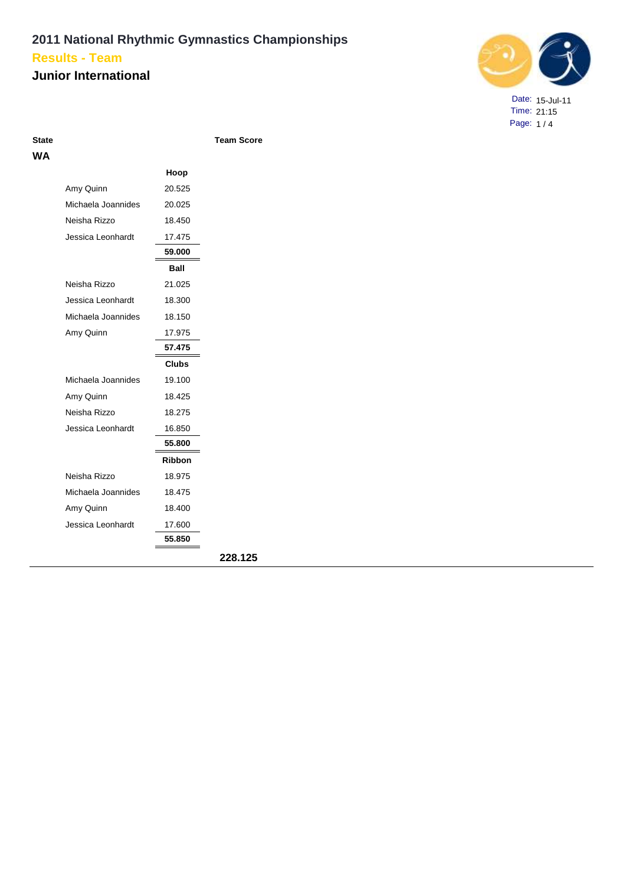### **Junior International**



Date: 15-Jul-11 Time: 21:15 Page: 1 / 4

**Team Score** 

| WА |                    |               |         |
|----|--------------------|---------------|---------|
|    |                    | Hoop          |         |
|    | Amy Quinn          | 20.525        |         |
|    | Michaela Joannides | 20.025        |         |
|    | Neisha Rizzo       | 18.450        |         |
|    | Jessica Leonhardt  | 17.475        |         |
|    |                    | 59.000        |         |
|    |                    | Ball          |         |
|    | Neisha Rizzo       | 21.025        |         |
|    | Jessica Leonhardt  | 18.300        |         |
|    | Michaela Joannides | 18.150        |         |
|    | Amy Quinn          | 17.975        |         |
|    |                    | 57.475        |         |
|    |                    | <b>Clubs</b>  |         |
|    | Michaela Joannides | 19.100        |         |
|    | Amy Quinn          | 18.425        |         |
|    | Neisha Rizzo       | 18.275        |         |
|    | Jessica Leonhardt  | 16.850        |         |
|    |                    | 55.800        |         |
|    |                    | <b>Ribbon</b> |         |
|    | Neisha Rizzo       | 18.975        |         |
|    | Michaela Joannides | 18.475        |         |
|    | Amy Quinn          | 18.400        |         |
|    | Jessica Leonhardt  | 17.600        |         |
|    |                    | 55.850        |         |
|    |                    |               | 228.125 |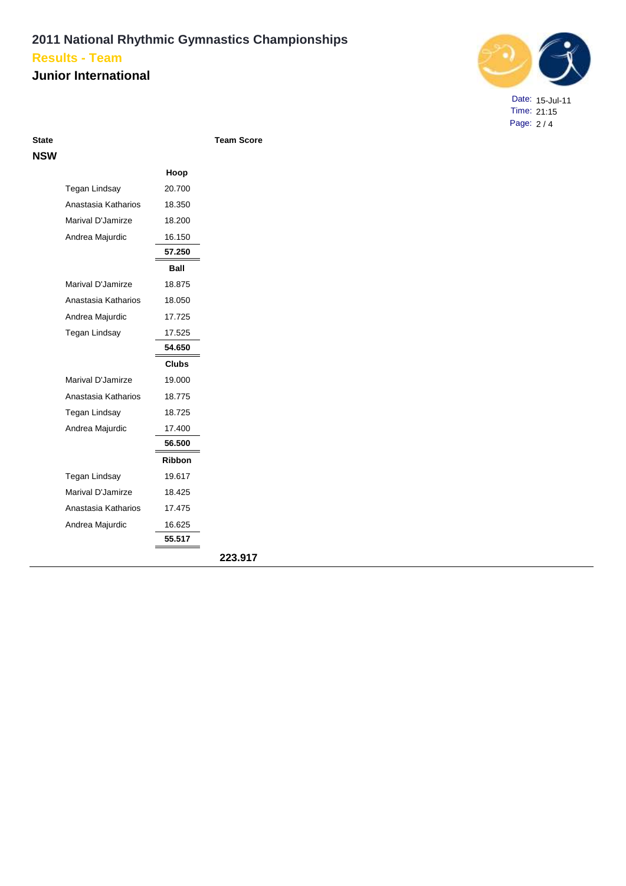### **Junior International**



Date: 15-Jul-11 Time: 21:15 Page: 2 / 4

| State |  |
|-------|--|
| NSW   |  |

**Team Score** 

|                     | Hoop          |         |
|---------------------|---------------|---------|
| Tegan Lindsay       | 20.700        |         |
| Anastasia Katharios | 18.350        |         |
| Marival D'Jamirze   | 18.200        |         |
| Andrea Majurdic     | 16.150        |         |
|                     | 57.250        |         |
|                     | Ball          |         |
| Marival D'Jamirze   | 18.875        |         |
| Anastasia Katharios | 18.050        |         |
| Andrea Majurdic     | 17.725        |         |
| Tegan Lindsay       | 17.525        |         |
|                     | 54.650        |         |
|                     | <b>Clubs</b>  |         |
| Marival D'Jamirze   | 19.000        |         |
| Anastasia Katharios | 18.775        |         |
| Tegan Lindsay       | 18.725        |         |
| Andrea Majurdic     | 17.400        |         |
|                     | 56.500        |         |
|                     | <b>Ribbon</b> |         |
| Tegan Lindsay       | 19.617        |         |
| Marival D'Jamirze   | 18.425        |         |
| Anastasia Katharios | 17.475        |         |
| Andrea Majurdic     | 16.625        |         |
|                     | 55.517        |         |
|                     |               | 223.917 |
|                     |               |         |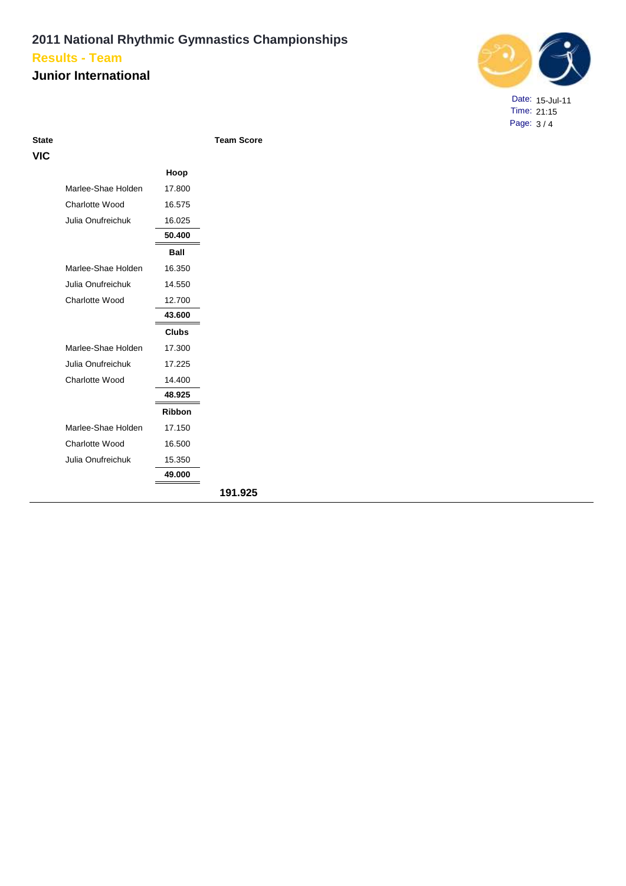### **Junior International**



Date: 15-Jul-11 Time: 21:15 Page: 3 / 4

| × | o m<br>۰. | ÷<br>ـ<br>. .<br>× | o m<br>M. |
|---|-----------|--------------------|-----------|
|   |           |                    |           |

**State Team Score**

|                    | Hoop          |         |
|--------------------|---------------|---------|
| Marlee-Shae Holden | 17.800        |         |
| Charlotte Wood     | 16.575        |         |
| Julia Onufreichuk  | 16.025        |         |
|                    | 50.400        |         |
|                    | Ball          |         |
| Marlee-Shae Holden | 16.350        |         |
| Julia Onufreichuk  | 14.550        |         |
| Charlotte Wood     | 12.700        |         |
|                    | 43.600        |         |
|                    | <b>Clubs</b>  |         |
| Marlee-Shae Holden | 17.300        |         |
| Julia Onufreichuk  | 17.225        |         |
| Charlotte Wood     | 14.400        |         |
|                    | 48.925        |         |
|                    | <b>Ribbon</b> |         |
| Marlee-Shae Holden | 17.150        |         |
| Charlotte Wood     | 16.500        |         |
| Julia Onufreichuk  | 15.350        |         |
|                    | 49.000        |         |
|                    |               | 191.925 |